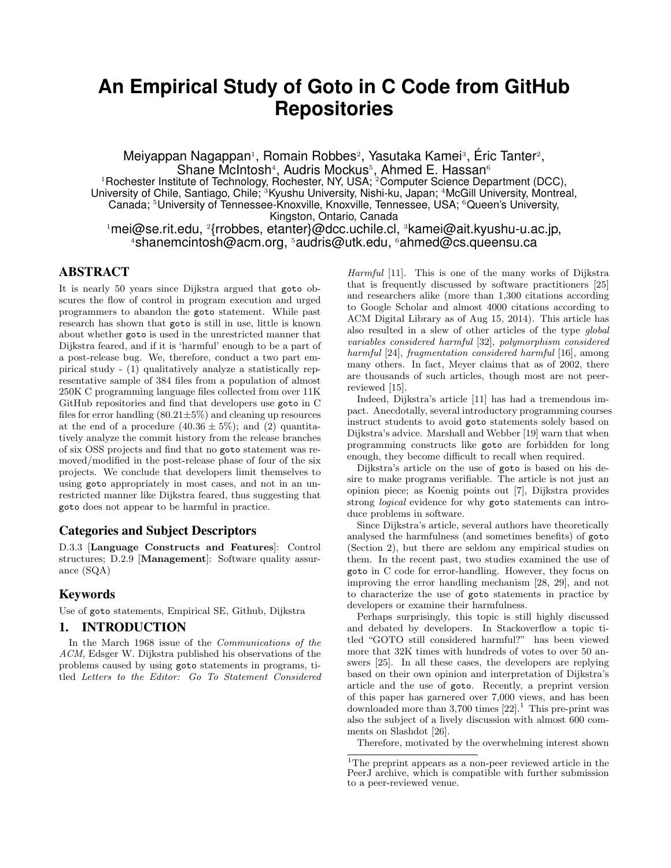# **An Empirical Study of Goto in C Code from GitHub Repositories**

Meiyappan Nagappan<sup>1</sup>, Romain Robbes<sup>2</sup>, Yasutaka Kamei<sup>3</sup>, Eric Tanter<sup>2</sup>, Shane McIntosh $^{\rm 4}$ , Audris Mockus $^{\rm 5}$ , Ahmed E. Hassan $^{\rm 6}$ <sup>1</sup>Rochester Institute of Technology, Rochester, NY, USA; <sup>2</sup>Computer Science Department (DCC), University of Chile, Santiago, Chile; <sup>3</sup>Kyushu University, Nishi-ku, Japan; <sup>4</sup>McGill University, Montreal, Canada; <sup>5</sup>University of Tennessee-Knoxville, Knoxville, Tennessee, USA; <sup>6</sup>Queen's University, Kingston, Ontario, Canada

 $^{\rm 1}$ mei@se.rit.edu,  $^{\rm 2}$ {rrobbes, etanter}@dcc.uchile.cl,  $^{\rm 3}$ kamei@ait.kyushu-u.ac.jp, <sup>4</sup>shanemcintosh@acm.org, <sup>5</sup>audris@utk.edu, <sup>6</sup>ahmed@cs.queensu.ca

### ABSTRACT

It is nearly 50 years since Dijkstra argued that goto obscures the flow of control in program execution and urged programmers to abandon the goto statement. While past research has shown that goto is still in use, little is known about whether goto is used in the unrestricted manner that Dijkstra feared, and if it is 'harmful' enough to be a part of a post-release bug. We, therefore, conduct a two part empirical study - (1) qualitatively analyze a statistically representative sample of 384 files from a population of almost 250K C programming language files collected from over 11K GitHub repositories and find that developers use goto in C files for error handling  $(80.21 \pm 5\%)$  and cleaning up resources at the end of a procedure  $(40.36 \pm 5\%)$ ; and  $(2)$  quantitatively analyze the commit history from the release branches of six OSS projects and find that no goto statement was removed/modified in the post-release phase of four of the six projects. We conclude that developers limit themselves to using goto appropriately in most cases, and not in an unrestricted manner like Dijkstra feared, thus suggesting that goto does not appear to be harmful in practice.

### Categories and Subject Descriptors

D.3.3 [Language Constructs and Features]: Control structures; D.2.9 [Management]: Software quality assurance (SQA)

### Keywords

Use of goto statements, Empirical SE, Github, Dijkstra

#### 1. INTRODUCTION

In the March 1968 issue of the Communications of the ACM, Edsger W. Dijkstra published his observations of the problems caused by using goto statements in programs, titled Letters to the Editor: Go To Statement Considered

Harmful [11]. This is one of the many works of Dijkstra that is frequently discussed by software practitioners [25] and researchers alike (more than 1,300 citations according to Google Scholar and almost 4000 citations according to ACM Digital Library as of Aug 15, 2014). This article has also resulted in a slew of other articles of the type global variables considered harmful [32], polymorphism considered harmful [24], fragmentation considered harmful [16], among many others. In fact, Meyer claims that as of 2002, there are thousands of such articles, though most are not peerreviewed [15].

Indeed, Dijkstra's article [11] has had a tremendous impact. Anecdotally, several introductory programming courses instruct students to avoid goto statements solely based on Dijkstra's advice. Marshall and Webber [19] warn that when programming constructs like goto are forbidden for long enough, they become difficult to recall when required.

Dijkstra's article on the use of goto is based on his desire to make programs verifiable. The article is not just an opinion piece; as Koenig points out [7], Dijkstra provides strong logical evidence for why goto statements can introduce problems in software.

Since Dijkstra's article, several authors have theoretically analysed the harmfulness (and sometimes benefits) of goto (Section 2), but there are seldom any empirical studies on them. In the recent past, two studies examined the use of goto in C code for error-handling. However, they focus on improving the error handling mechanism [28, 29], and not to characterize the use of goto statements in practice by developers or examine their harmfulness.

Perhaps surprisingly, this topic is still highly discussed and debated by developers. In Stackoverflow a topic titled "GOTO still considered harmful?" has been viewed more that 32K times with hundreds of votes to over 50 answers [25]. In all these cases, the developers are replying based on their own opinion and interpretation of Dijkstra's article and the use of goto. Recently, a preprint version of this paper has garnered over 7,000 views, and has been downloaded more than 3,700 times  $[22]$ .<sup>1</sup> This pre-print was also the subject of a lively discussion with almost 600 comments on Slashdot [26].

Therefore, motivated by the overwhelming interest shown

<sup>1</sup>The preprint appears as a non-peer reviewed article in the PeerJ archive, which is compatible with further submission to a peer-reviewed venue.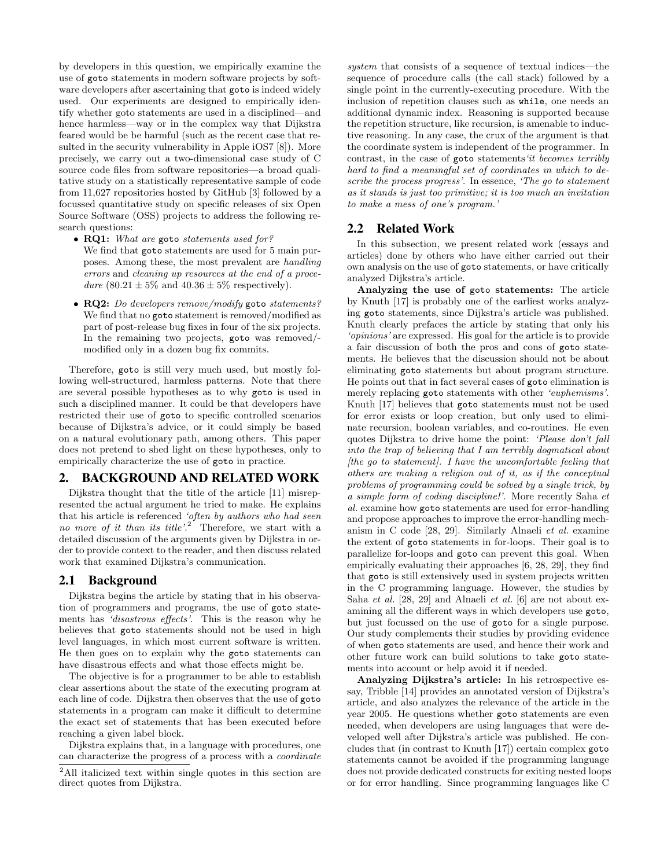by developers in this question, we empirically examine the use of goto statements in modern software projects by software developers after ascertaining that goto is indeed widely used. Our experiments are designed to empirically identify whether goto statements are used in a disciplined—and hence harmless—way or in the complex way that Dijkstra feared would be be harmful (such as the recent case that resulted in the security vulnerability in Apple iOS7 [8]). More precisely, we carry out a two-dimensional case study of C source code files from software repositories—a broad qualitative study on a statistically representative sample of code from 11,627 repositories hosted by GitHub [3] followed by a focussed quantitative study on specific releases of six Open Source Software (OSS) projects to address the following research questions:

- RQ1: What are goto statements used for? We find that goto statements are used for 5 main purposes. Among these, the most prevalent are handling errors and cleaning up resources at the end of a procedure  $(80.21 \pm 5\% \text{ and } 40.36 \pm 5\% \text{ respectively}).$
- $RQ2: Do\ developers\ remove/modify$  goto statements? We find that no goto statement is removed/modified as part of post-release bug fixes in four of the six projects. In the remaining two projects, goto was removed/ modified only in a dozen bug fix commits.

Therefore, goto is still very much used, but mostly following well-structured, harmless patterns. Note that there are several possible hypotheses as to why goto is used in such a disciplined manner. It could be that developers have restricted their use of goto to specific controlled scenarios because of Dijkstra's advice, or it could simply be based on a natural evolutionary path, among others. This paper does not pretend to shed light on these hypotheses, only to empirically characterize the use of goto in practice.

### 2. BACKGROUND AND RELATED WORK

Dijkstra thought that the title of the article [11] misrepresented the actual argument he tried to make. He explains that his article is referenced 'often by authors who had seen no more of it than its title<sup>'.2</sup> Therefore, we start with a detailed discussion of the arguments given by Dijkstra in order to provide context to the reader, and then discuss related work that examined Dijkstra's communication.

### 2.1 Background

Dijkstra begins the article by stating that in his observation of programmers and programs, the use of goto statements has 'disastrous effects'. This is the reason why he believes that goto statements should not be used in high level languages, in which most current software is written. He then goes on to explain why the goto statements can have disastrous effects and what those effects might be.

The objective is for a programmer to be able to establish clear assertions about the state of the executing program at each line of code. Dijkstra then observes that the use of goto statements in a program can make it difficult to determine the exact set of statements that has been executed before reaching a given label block.

Dijkstra explains that, in a language with procedures, one can characterize the progress of a process with a coordinate system that consists of a sequence of textual indices—the sequence of procedure calls (the call stack) followed by a single point in the currently-executing procedure. With the inclusion of repetition clauses such as while, one needs an additional dynamic index. Reasoning is supported because the repetition structure, like recursion, is amenable to inductive reasoning. In any case, the crux of the argument is that the coordinate system is independent of the programmer. In contrast, in the case of goto statements'it becomes terribly hard to find a meaningful set of coordinates in which to describe the process progress'. In essence, 'The go to statement as it stands is just too primitive; it is too much an invitation to make a mess of one's program.'

### 2.2 Related Work

In this subsection, we present related work (essays and articles) done by others who have either carried out their own analysis on the use of goto statements, or have critically analyzed Dijkstra's article.

Analyzing the use of goto statements: The article by Knuth [17] is probably one of the earliest works analyzing goto statements, since Dijkstra's article was published. Knuth clearly prefaces the article by stating that only his 'opinions' are expressed. His goal for the article is to provide a fair discussion of both the pros and cons of goto statements. He believes that the discussion should not be about eliminating goto statements but about program structure. He points out that in fact several cases of goto elimination is merely replacing goto statements with other 'euphemisms'. Knuth [17] believes that goto statements must not be used for error exists or loop creation, but only used to eliminate recursion, boolean variables, and co-routines. He even quotes Dijkstra to drive home the point: 'Please don't fall into the trap of believing that I am terribly dogmatical about  $[the qo to statement].$  I have the uncomfortable feeling that others are making a religion out of it, as if the conceptual problems of programming could be solved by a single trick, by a simple form of coding discipline!'. More recently Saha et al. examine how goto statements are used for error-handling and propose approaches to improve the error-handling mechanism in C code [28, 29]. Similarly Alnaeli et al. examine the extent of goto statements in for-loops. Their goal is to parallelize for-loops and goto can prevent this goal. When empirically evaluating their approaches [6, 28, 29], they find that goto is still extensively used in system projects written in the C programming language. However, the studies by Saha et al. [28, 29] and Alnaeli et al. [6] are not about examining all the different ways in which developers use goto, but just focussed on the use of goto for a single purpose. Our study complements their studies by providing evidence of when goto statements are used, and hence their work and other future work can build solutions to take goto statements into account or help avoid it if needed.

Analyzing Dijkstra's article: In his retrospective essay, Tribble [14] provides an annotated version of Dijkstra's article, and also analyzes the relevance of the article in the year 2005. He questions whether goto statements are even needed, when developers are using languages that were developed well after Dijkstra's article was published. He concludes that (in contrast to Knuth [17]) certain complex goto statements cannot be avoided if the programming language does not provide dedicated constructs for exiting nested loops or for error handling. Since programming languages like C

<sup>&</sup>lt;sup>2</sup>All italicized text within single quotes in this section are direct quotes from Dijkstra.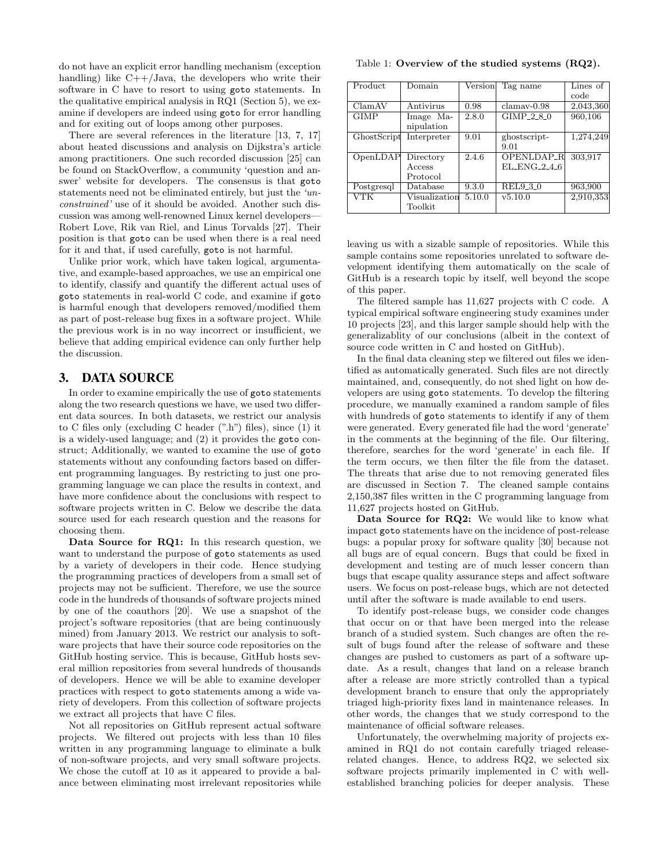do not have an explicit error handling mechanism (exception handling) like  $C++/Java$ , the developers who write their software in C have to resort to using goto statements. In the qualitative empirical analysis in RQ1 (Section 5), we examine if developers are indeed using goto for error handling and for exiting out of loops among other purposes.

There are several references in the literature [13, 7, 17] about heated discussions and analysis on Dijkstra's article among practitioners. One such recorded discussion [25] can be found on StackOverflow, a community 'question and answer' website for developers. The consensus is that goto statements need not be eliminated entirely, but just the 'unconstrained' use of it should be avoided. Another such discussion was among well-renowned Linux kernel developers— Robert Love, Rik van Riel, and Linus Torvalds [27]. Their position is that goto can be used when there is a real need for it and that, if used carefully, goto is not harmful.

Unlike prior work, which have taken logical, argumentative, and example-based approaches, we use an empirical one to identify, classify and quantify the different actual uses of goto statements in real-world C code, and examine if goto is harmful enough that developers removed/modified them as part of post-release bug fixes in a software project. While the previous work is in no way incorrect or insufficient, we believe that adding empirical evidence can only further help the discussion.

### 3. DATA SOURCE

In order to examine empirically the use of goto statements along the two research questions we have, we used two different data sources. In both datasets, we restrict our analysis to C files only (excluding C header (".h") files), since (1) it is a widely-used language; and (2) it provides the goto construct; Additionally, we wanted to examine the use of goto statements without any confounding factors based on different programming languages. By restricting to just one programming language we can place the results in context, and have more confidence about the conclusions with respect to software projects written in C. Below we describe the data source used for each research question and the reasons for choosing them.

Data Source for RQ1: In this research question, we want to understand the purpose of goto statements as used by a variety of developers in their code. Hence studying the programming practices of developers from a small set of projects may not be sufficient. Therefore, we use the source code in the hundreds of thousands of software projects mined by one of the coauthors [20]. We use a snapshot of the project's software repositories (that are being continuously mined) from January 2013. We restrict our analysis to software projects that have their source code repositories on the GitHub hosting service. This is because, GitHub hosts several million repositories from several hundreds of thousands of developers. Hence we will be able to examine developer practices with respect to goto statements among a wide variety of developers. From this collection of software projects we extract all projects that have C files.

Not all repositories on GitHub represent actual software projects. We filtered out projects with less than 10 files written in any programming language to eliminate a bulk of non-software projects, and very small software projects. We chose the cutoff at 10 as it appeared to provide a balance between eliminating most irrelevant repositories while

Table 1: Overview of the studied systems (RQ2).

| Product     | Domain                  | Version | Tag name                                    | Lines of  |
|-------------|-------------------------|---------|---------------------------------------------|-----------|
|             |                         |         |                                             | code      |
| ClamAV      | Antivirus               | 0.98    | $clamav-0.98$                               | 2,043,360 |
| GIMP        | Image $M\overline{a}$ - | 2.8.0   | $GIMP_28_0$                                 | 960,106   |
|             | nipulation              |         |                                             |           |
| GhostScript | Interpreter             | 9.01    | ghostscript-                                | 1,274,249 |
|             |                         |         | 9.01                                        |           |
| OpenLDAP    | Directory               | 2.4.6   | OPENLDAP_R                                  | 303,917   |
|             | Access                  |         | $EL$ <sub>ENG</sub> $-2$ <sub>-4</sub> $-6$ |           |
|             | Protocol                |         |                                             |           |
| Postgresql  | Database                | 9.3.0   | REL9_3_0                                    | 963,900   |
| VTK         | Visualization           | 5.10.0  | v5.10.0                                     | 2,910,353 |
|             | Toolkit                 |         |                                             |           |

leaving us with a sizable sample of repositories. While this sample contains some repositories unrelated to software development identifying them automatically on the scale of GitHub is a research topic by itself, well beyond the scope of this paper.

The filtered sample has 11,627 projects with C code. A typical empirical software engineering study examines under 10 projects [23], and this larger sample should help with the generalizablity of our conclusions (albeit in the context of source code written in C and hosted on GitHub).

In the final data cleaning step we filtered out files we identified as automatically generated. Such files are not directly maintained, and, consequently, do not shed light on how developers are using goto statements. To develop the filtering procedure, we manually examined a random sample of files with hundreds of goto statements to identify if any of them were generated. Every generated file had the word 'generate' in the comments at the beginning of the file. Our filtering, therefore, searches for the word 'generate' in each file. If the term occurs, we then filter the file from the dataset. The threats that arise due to not removing generated files are discussed in Section 7. The cleaned sample contains 2,150,387 files written in the C programming language from 11,627 projects hosted on GitHub.

Data Source for RQ2: We would like to know what impact goto statements have on the incidence of post-release bugs: a popular proxy for software quality [30] because not all bugs are of equal concern. Bugs that could be fixed in development and testing are of much lesser concern than bugs that escape quality assurance steps and affect software users. We focus on post-release bugs, which are not detected until after the software is made available to end users.

To identify post-release bugs, we consider code changes that occur on or that have been merged into the release branch of a studied system. Such changes are often the result of bugs found after the release of software and these changes are pushed to customers as part of a software update. As a result, changes that land on a release branch after a release are more strictly controlled than a typical development branch to ensure that only the appropriately triaged high-priority fixes land in maintenance releases. In other words, the changes that we study correspond to the maintenance of official software releases.

Unfortunately, the overwhelming majority of projects examined in RQ1 do not contain carefully triaged releaserelated changes. Hence, to address RQ2, we selected six software projects primarily implemented in C with wellestablished branching policies for deeper analysis. These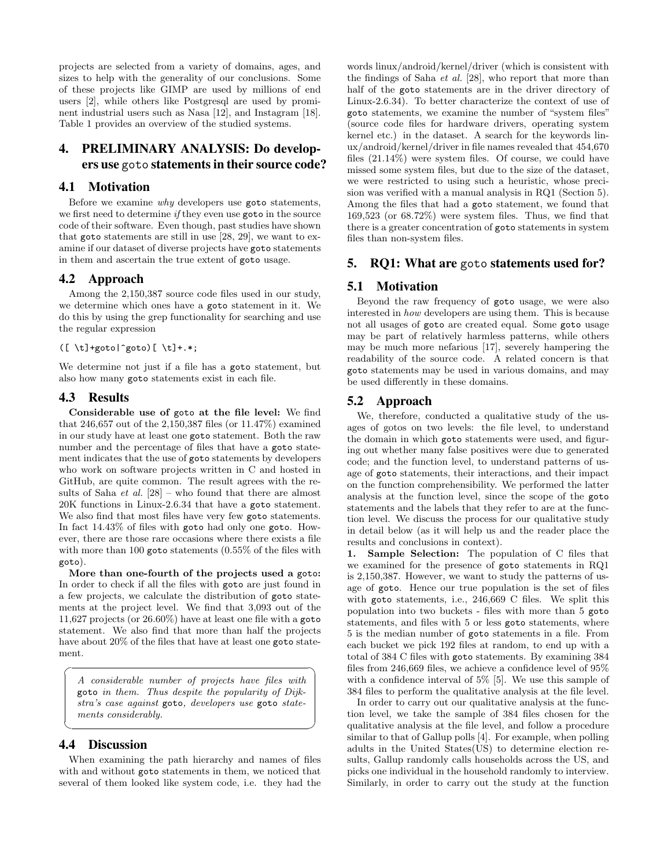projects are selected from a variety of domains, ages, and sizes to help with the generality of our conclusions. Some of these projects like GIMP are used by millions of end users [2], while others like Postgresql are used by prominent industrial users such as Nasa [12], and Instagram [18]. Table 1 provides an overview of the studied systems.

# 4. PRELIMINARY ANALYSIS: Do developers use goto statements in their source code?

### 4.1 Motivation

Before we examine why developers use goto statements, we first need to determine if they even use goto in the source code of their software. Even though, past studies have shown that goto statements are still in use [28, 29], we want to examine if our dataset of diverse projects have goto statements in them and ascertain the true extent of goto usage.

# 4.2 Approach

Among the 2,150,387 source code files used in our study, we determine which ones have a goto statement in it. We do this by using the grep functionality for searching and use the regular expression

 $([ \ t]+$ goto $|\hat{\sigma}|$ goto) $[ \ t]+$ .\*;

We determine not just if a file has a goto statement, but also how many goto statements exist in each file.

# 4.3 Results

Considerable use of goto at the file level: We find that 246,657 out of the 2,150,387 files (or 11.47%) examined in our study have at least one goto statement. Both the raw number and the percentage of files that have a goto statement indicates that the use of goto statements by developers who work on software projects written in C and hosted in GitHub, are quite common. The result agrees with the results of Saha *et al.*  $[28]$  – who found that there are almost 20K functions in Linux-2.6.34 that have a goto statement. We also find that most files have very few goto statements. In fact 14.43% of files with goto had only one goto. However, there are those rare occasions where there exists a file with more than 100 goto statements (0.55% of the files with goto).

More than one-fourth of the projects used a goto: In order to check if all the files with goto are just found in a few projects, we calculate the distribution of goto statements at the project level. We find that 3,093 out of the 11,627 projects (or 26.60%) have at least one file with a goto statement. We also find that more than half the projects have about 20% of the files that have at least one goto statement.

A considerable number of projects have files with goto in them. Thus despite the popularity of Dijkstra's case against goto, developers use goto statements considerably.

## 4.4 Discussion

 $\overline{a}$ 

 $\searrow$ 

When examining the path hierarchy and names of files with and without goto statements in them, we noticed that several of them looked like system code, i.e. they had the words linux/android/kernel/driver (which is consistent with the findings of Saha et al. [28], who report that more than half of the goto statements are in the driver directory of Linux-2.6.34). To better characterize the context of use of goto statements, we examine the number of "system files" (source code files for hardware drivers, operating system kernel etc.) in the dataset. A search for the keywords linux/android/kernel/driver in file names revealed that 454,670 files (21.14%) were system files. Of course, we could have missed some system files, but due to the size of the dataset, we were restricted to using such a heuristic, whose precision was verified with a manual analysis in RQ1 (Section 5). Among the files that had a goto statement, we found that 169,523 (or 68.72%) were system files. Thus, we find that there is a greater concentration of goto statements in system files than non-system files.

## 5. RQ1: What are goto statements used for?

# 5.1 Motivation

Beyond the raw frequency of goto usage, we were also interested in how developers are using them. This is because not all usages of goto are created equal. Some goto usage may be part of relatively harmless patterns, while others may be much more nefarious [17], severely hampering the readability of the source code. A related concern is that goto statements may be used in various domains, and may be used differently in these domains.

# 5.2 Approach

✠

We, therefore, conducted a qualitative study of the usages of gotos on two levels: the file level, to understand the domain in which goto statements were used, and figuring out whether many false positives were due to generated code; and the function level, to understand patterns of usage of goto statements, their interactions, and their impact on the function comprehensibility. We performed the latter analysis at the function level, since the scope of the goto statements and the labels that they refer to are at the function level. We discuss the process for our qualitative study in detail below (as it will help us and the reader place the results and conclusions in context).

1. Sample Selection: The population of C files that we examined for the presence of goto statements in RQ1 is 2,150,387. However, we want to study the patterns of usage of goto. Hence our true population is the set of files with goto statements, i.e., 246,669 C files. We split this population into two buckets - files with more than 5 goto statements, and files with 5 or less goto statements, where 5 is the median number of goto statements in a file. From each bucket we pick 192 files at random, to end up with a total of 384 C files with goto statements. By examining 384 files from 246,669 files, we achieve a confidence level of 95% with a confidence interval of 5% [5]. We use this sample of 384 files to perform the qualitative analysis at the file level.

In order to carry out our qualitative analysis at the function level, we take the sample of 384 files chosen for the qualitative analysis at the file level, and follow a procedure similar to that of Gallup polls [4]. For example, when polling adults in the United States(US) to determine election results, Gallup randomly calls households across the US, and picks one individual in the household randomly to interview. Similarly, in order to carry out the study at the function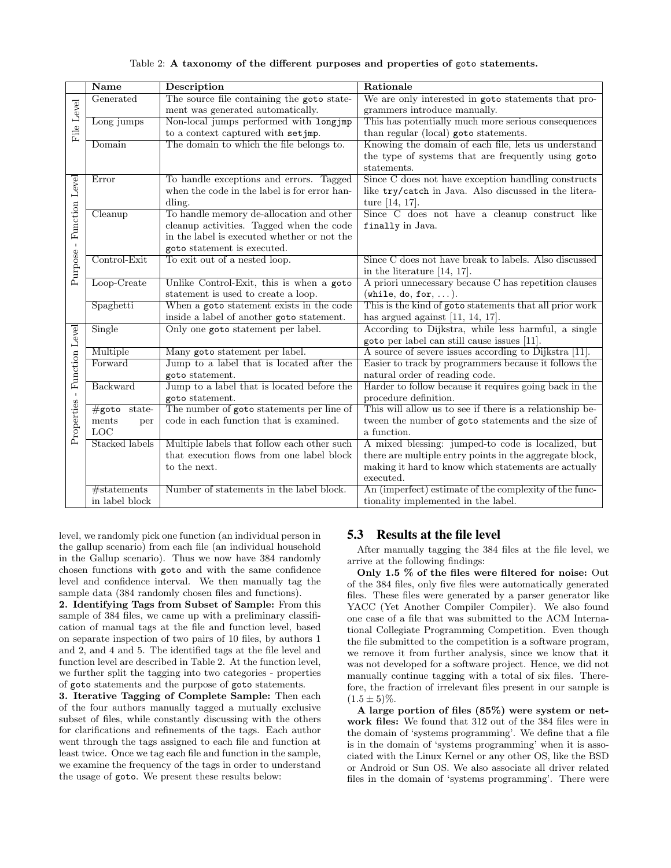|                  | Name               | Description                                  | Rationale                                                |
|------------------|--------------------|----------------------------------------------|----------------------------------------------------------|
|                  | Generated          | The source file containing the goto state-   | We are only interested in goto statements that pro-      |
| File Level       |                    | ment was generated automatically.            | grammers introduce manually.                             |
|                  | Long jumps         | Non-local jumps performed with longjmp       | This has potentially much more serious consequences      |
|                  |                    | to a context captured with setjmp.           | than regular (local) goto statements.                    |
|                  | Domain             | The domain to which the file belongs to.     | Knowing the domain of each file, lets us understand      |
|                  |                    |                                              | the type of systems that are frequently using goto       |
|                  |                    |                                              | statements.                                              |
|                  | Error              | To handle exceptions and errors. Tagged      | Since C does not have exception handling constructs      |
|                  |                    | when the code in the label is for error han- | like try/catch in Java. Also discussed in the litera-    |
|                  |                    | dling.                                       | ture [14, 17].                                           |
| - Function Level | $C$ leanup         | To handle memory de-allocation and other     | Since C does not have a cleanup construct like           |
|                  |                    | cleanup activities. Tagged when the code     | finally in Java.                                         |
|                  |                    | in the label is executed whether or not the  |                                                          |
|                  |                    | goto statement is executed.                  |                                                          |
| Purpose          | $Control$ -Exit    | To exit out of a nested loop.                | Since C does not have break to labels. Also discussed    |
|                  |                    |                                              | in the literature $[14, 17]$ .                           |
|                  | Loop-Create        | Unlike Control-Exit, this is when a goto     | A priori unnecessary because C has repetition clauses    |
|                  |                    | statement is used to create a loop.          | $(\text{while}, \text{do}, \text{for}, \dots).$          |
|                  | Spaghetti          | When a goto statement exists in the code     | This is the kind of goto statements that all prior work  |
|                  |                    | inside a label of another goto statement.    | has argued against $[11, 14, 17]$ .                      |
|                  | Single             | Only one goto statement per label.           | According to Dijkstra, while less harmful, a single      |
|                  |                    |                                              | goto per label can still cause issues [11].              |
| Function Level   | Multiple           | Many goto statement per label.               | A source of severe issues according to Dijkstra [11].    |
|                  | Forward            | Jump to a label that is located after the    | Easier to track by programmers because it follows the    |
|                  |                    | goto statement.                              | natural order of reading code.                           |
| $\mathbf{I}$     | Backward           | Jump to a label that is located before the   | Harder to follow because it requires going back in the   |
|                  |                    | goto statement.                              | procedure definition.                                    |
|                  | $#$ goto<br>state- | The number of goto statements per line of    | This will allow us to see if there is a relationship be- |
|                  | ments<br>per       | code in each function that is examined.      | tween the number of goto statements and the size of      |
| Properties       | <b>LOC</b>         |                                              | a function.                                              |
|                  | Stacked labels     | Multiple labels that follow each other such  | A mixed blessing: jumped-to code is localized, but       |
|                  |                    | that execution flows from one label block    | there are multiple entry points in the aggregate block,  |
|                  |                    | to the next.                                 | making it hard to know which statements are actually     |
|                  |                    |                                              | executed.                                                |
|                  | $#$ statements     | Number of statements in the label block.     | An (imperfect) estimate of the complexity of the func-   |
|                  | in label block     |                                              | tionality implemented in the label.                      |

### Table 2: A taxonomy of the different purposes and properties of goto statements.

level, we randomly pick one function (an individual person in the gallup scenario) from each file (an individual household in the Gallup scenario). Thus we now have 384 randomly chosen functions with goto and with the same confidence level and confidence interval. We then manually tag the sample data (384 randomly chosen files and functions).

2. Identifying Tags from Subset of Sample: From this sample of 384 files, we came up with a preliminary classification of manual tags at the file and function level, based on separate inspection of two pairs of 10 files, by authors 1 and 2, and 4 and 5. The identified tags at the file level and function level are described in Table 2. At the function level, we further split the tagging into two categories - properties of goto statements and the purpose of goto statements.

3. Iterative Tagging of Complete Sample: Then each of the four authors manually tagged a mutually exclusive subset of files, while constantly discussing with the others for clarifications and refinements of the tags. Each author went through the tags assigned to each file and function at least twice. Once we tag each file and function in the sample, we examine the frequency of the tags in order to understand the usage of goto. We present these results below:

### 5.3 Results at the file level

After manually tagging the 384 files at the file level, we arrive at the following findings:

Only 1.5 % of the files were filtered for noise: Out of the 384 files, only five files were automatically generated files. These files were generated by a parser generator like YACC (Yet Another Compiler Compiler). We also found one case of a file that was submitted to the ACM International Collegiate Programming Competition. Even though the file submitted to the competition is a software program, we remove it from further analysis, since we know that it was not developed for a software project. Hence, we did not manually continue tagging with a total of six files. Therefore, the fraction of irrelevant files present in our sample is  $(1.5 \pm 5)\%$ .

A large portion of files (85%) were system or network files: We found that 312 out of the 384 files were in the domain of 'systems programming'. We define that a file is in the domain of 'systems programming' when it is associated with the Linux Kernel or any other OS, like the BSD or Android or Sun OS. We also associate all driver related files in the domain of 'systems programming'. There were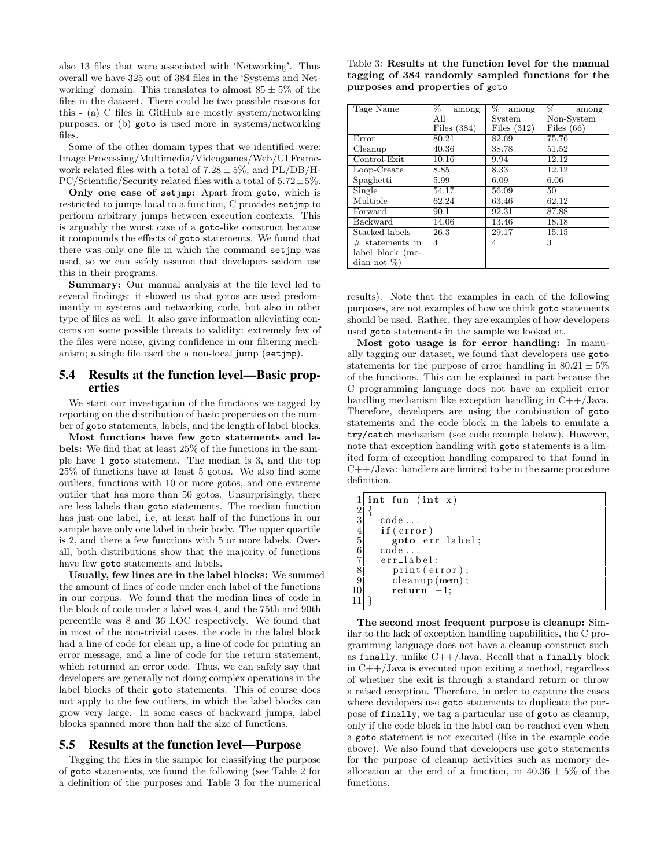also 13 files that were associated with 'Networking'. Thus overall we have 325 out of 384 files in the 'Systems and Networking' domain. This translates to almost  $85 \pm 5\%$  of the files in the dataset. There could be two possible reasons for this - (a) C files in GitHub are mostly system/networking purposes, or (b) goto is used more in systems/networking files.

Some of the other domain types that we identified were: Image Processing/Multimedia/Videogames/Web/UI Framework related files with a total of  $7.28 \pm 5\%$ , and  $PL/DB/H$ - $PC/Scientific/Security related files with a total of 5.72 $\pm$ 5%.$ 

Only one case of setjmp: Apart from goto, which is restricted to jumps local to a function, C provides setjmp to perform arbitrary jumps between execution contexts. This is arguably the worst case of a goto-like construct because it compounds the effects of goto statements. We found that there was only one file in which the command setjmp was used, so we can safely assume that developers seldom use this in their programs.

Summary: Our manual analysis at the file level led to several findings: it showed us that gotos are used predominantly in systems and networking code, but also in other type of files as well. It also gave information alleviating concerns on some possible threats to validity: extremely few of the files were noise, giving confidence in our filtering mechanism; a single file used the a non-local jump (setjmp).

### 5.4 Results at the function level—Basic properties

We start our investigation of the functions we tagged by reporting on the distribution of basic properties on the number of goto statements, labels, and the length of label blocks.

Most functions have few goto statements and labels: We find that at least 25% of the functions in the sample have 1 goto statement. The median is 3, and the top 25% of functions have at least 5 gotos. We also find some outliers, functions with 10 or more gotos, and one extreme outlier that has more than 50 gotos. Unsurprisingly, there are less labels than goto statements. The median function has just one label, i.e, at least half of the functions in our sample have only one label in their body. The upper quartile is 2, and there a few functions with 5 or more labels. Overall, both distributions show that the majority of functions have few goto statements and labels.

Usually, few lines are in the label blocks: We summed the amount of lines of code under each label of the functions in our corpus. We found that the median lines of code in the block of code under a label was 4, and the 75th and 90th percentile was 8 and 36 LOC respectively. We found that in most of the non-trivial cases, the code in the label block had a line of code for clean up, a line of code for printing an error message, and a line of code for the return statement, which returned an error code. Thus, we can safely say that developers are generally not doing complex operations in the label blocks of their goto statements. This of course does not apply to the few outliers, in which the label blocks can grow very large. In some cases of backward jumps, label blocks spanned more than half the size of functions.

#### 5.5 Results at the function level—Purpose

Tagging the files in the sample for classifying the purpose of goto statements, we found the following (see Table 2 for a definition of the purposes and Table 3 for the numerical

Table 3: Results at the function level for the manual tagging of 384 randomly sampled functions for the purposes and properties of goto

| Tage Name          | %<br>among    | Z.<br>among   | $\%$<br>among |
|--------------------|---------------|---------------|---------------|
|                    | All           | System        | Non-System    |
|                    | Files $(384)$ | Files $(312)$ | Files $(66)$  |
| Error              | 80.21         | 82.69         | 75.76         |
| $C$ leanup         | 40.36         | 38.78         | 51.52         |
| Control-Exit       | 10.16         | 9.94          | 12.12         |
| Loop-Create        | 8.85          | 8.33          | 12.12         |
| Spaghetti          | 5.99          | 6.09          | 6.06          |
| Single             | 54.17         | 56.09         | 50            |
| Multiple           | 62.24         | 63.46         | 62.12         |
| Forward            | 90.1          | 92.31         | 87.88         |
| <b>Backward</b>    | 14.06         | 13.46         | 18.18         |
| Stacked labels     | 26.3          | 29.17         | 15.15         |
| $\#$ statements in | 4             | 4             | 3             |
| label block (me-   |               |               |               |
| dian not $\%$ )    |               |               |               |

results). Note that the examples in each of the following purposes, are not examples of how we think goto statements should be used. Rather, they are examples of how developers used goto statements in the sample we looked at.

Most goto usage is for error handling: In manually tagging our dataset, we found that developers use goto statements for the purpose of error handling in  $80.21 \pm 5\%$ of the functions. This can be explained in part because the C programming language does not have an explicit error handling mechanism like exception handling in C++/Java. Therefore, developers are using the combination of goto statements and the code block in the labels to emulate a try/catch mechanism (see code example below). However, note that exception handling with goto statements is a limited form of exception handling compared to that found in  $C++/Java:$  handlers are limited to be in the same procedure definition.

|                                                   | $1$ int fun (int x) |  |
|---------------------------------------------------|---------------------|--|
|                                                   |                     |  |
|                                                   | $code \ldots$       |  |
|                                                   | if(error)           |  |
| $\begin{smallmatrix}2\3\4\5\6\7\end{smallmatrix}$ | goto err_label;     |  |
|                                                   | $code \ldots$       |  |
|                                                   | err_label:          |  |
| $\frac{8}{9}$                                     | print(error);       |  |
|                                                   | cleanup(mem);       |  |
| 10                                                | $return -1$ :       |  |
| 11                                                |                     |  |

The second most frequent purpose is cleanup: Similar to the lack of exception handling capabilities, the C programming language does not have a cleanup construct such as finally, unlike  $C++/Java$ . Recall that a finally block in C++/Java is executed upon exiting a method, regardless of whether the exit is through a standard return or throw a raised exception. Therefore, in order to capture the cases where developers use goto statements to duplicate the purpose of finally, we tag a particular use of goto as cleanup, only if the code block in the label can be reached even when a goto statement is not executed (like in the example code above). We also found that developers use goto statements for the purpose of cleanup activities such as memory deallocation at the end of a function, in  $40.36 \pm 5\%$  of the functions.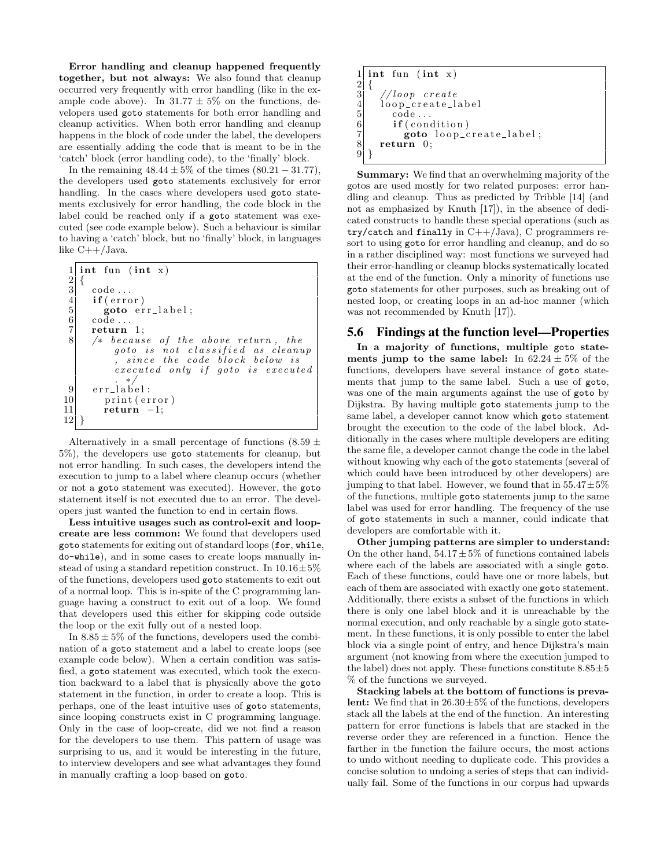Error handling and cleanup happened frequently together, but not always: We also found that cleanup occurred very frequently with error handling (like in the example code above). In  $31.77 \pm 5\%$  on the functions, developers used goto statements for both error handling and cleanup activities. When both error handling and cleanup happens in the block of code under the label, the developers are essentially adding the code that is meant to be in the 'catch' block (error handling code), to the 'finally' block.

In the remaining  $48.44 \pm 5\%$  of the times  $(80.21 - 31.77)$ , the developers used goto statements exclusively for error handling. In the cases where developers used goto statements exclusively for error handling, the code block in the label could be reached only if a goto statement was executed (see code example below). Such a behaviour is similar to having a 'catch' block, but no 'finally' block, in languages like C++/Java.

```
1 int fun (int x)
 \begin{bmatrix} 2 \\ 3 \end{bmatrix}\begin{bmatrix} 3 \\ 4 \end{bmatrix} code ...
 \begin{array}{c|c} 4 & \textbf{if (error)} \\ 5 & \textbf{goto er} \\ 6 & \textbf{code} \dots \end{array}goto err_label;
 \begin{array}{c} 6 \ 7 \end{array} code . .
         return 1;
 8 /* because of the above return, the
                 goto is not classified as cleanup
                    since\ the\ code\ block\ below\ isexecuted only if goto is executed
                 . ∗/
\begin{array}{c|c} 9 & \text{err\_label}: \\ 10 & \text{print (er)} \end{array}print ( error )
11 return -1;
12 }
```
Alternatively in a small percentage of functions  $(8.59 \pm 1)$ 5%), the developers use goto statements for cleanup, but not error handling. In such cases, the developers intend the execution to jump to a label where cleanup occurs (whether or not a goto statement was executed). However, the goto statement itself is not executed due to an error. The developers just wanted the function to end in certain flows.

Less intuitive usages such as control-exit and loopcreate are less common: We found that developers used goto statements for exiting out of standard loops (for, while, do-while), and in some cases to create loops manually instead of using a standard repetition construct. In  $10.16 \pm 5\%$ of the functions, developers used goto statements to exit out of a normal loop. This is in-spite of the C programming language having a construct to exit out of a loop. We found that developers used this either for skipping code outside the loop or the exit fully out of a nested loop.

In  $8.85 \pm 5\%$  of the functions, developers used the combination of a goto statement and a label to create loops (see example code below). When a certain condition was satisfied, a goto statement was executed, which took the execution backward to a label that is physically above the goto statement in the function, in order to create a loop. This is perhaps, one of the least intuitive uses of goto statements, since looping constructs exist in C programming language. Only in the case of loop-create, did we not find a reason for the developers to use them. This pattern of usage was surprising to us, and it would be interesting in the future, to interview developers and see what advantages they found in manually crafting a loop based on goto.

```
1 int fun (int x)
\frac{2}{3}\begin{array}{c} 3 \ 4 \end{array} //loop create_1.
\begin{array}{c|c} 4 & \text{loop\_create\_label} \\ 5 & \text{code} \end{array}\begin{array}{c|c} 5 & \text{code} \ . & \ \hline 6 & \text{if (con } \ \hline 7 & \text{goto } \ 8 & \text{return } 0 \end{array}if (condition)goto loop_create_label;
            return 0;\overline{9}
```
Summary: We find that an overwhelming majority of the gotos are used mostly for two related purposes: error handling and cleanup. Thus as predicted by Tribble [14] (and not as emphasized by Knuth [17]), in the absence of dedicated constructs to handle these special operations (such as try/catch and finally in C++/Java), C programmers resort to using goto for error handling and cleanup, and do so in a rather disciplined way: most functions we surveyed had their error-handling or cleanup blocks systematically located at the end of the function. Only a minority of functions use goto statements for other purposes, such as breaking out of nested loop, or creating loops in an ad-hoc manner (which was not recommended by Knuth [17]).

#### 5.6 Findings at the function level—Properties

In a majority of functions, multiple goto statements jump to the same label: In  $62.24 \pm 5\%$  of the functions, developers have several instance of goto statements that jump to the same label. Such a use of goto, was one of the main arguments against the use of goto by Dijkstra. By having multiple goto statements jump to the same label, a developer cannot know which goto statement brought the execution to the code of the label block. Additionally in the cases where multiple developers are editing the same file, a developer cannot change the code in the label without knowing why each of the goto statements (several of which could have been introduced by other developers) are jumping to that label. However, we found that in  $55.47 \pm 5\%$ of the functions, multiple goto statements jump to the same label was used for error handling. The frequency of the use of goto statements in such a manner, could indicate that developers are comfortable with it.

Other jumping patterns are simpler to understand: On the other hand,  $54.17 \pm 5\%$  of functions contained labels where each of the labels are associated with a single goto. Each of these functions, could have one or more labels, but each of them are associated with exactly one goto statement. Additionally, there exists a subset of the functions in which there is only one label block and it is unreachable by the normal execution, and only reachable by a single goto statement. In these functions, it is only possible to enter the label block via a single point of entry, and hence Dijkstra's main argument (not knowing from where the execution jumped to the label) does not apply. These functions constitute  $8.85 \pm 5$ % of the functions we surveyed.

Stacking labels at the bottom of functions is prevalent: We find that in  $26.30 \pm 5\%$  of the functions, developers stack all the labels at the end of the function. An interesting pattern for error functions is labels that are stacked in the reverse order they are referenced in a function. Hence the farther in the function the failure occurs, the most actions to undo without needing to duplicate code. This provides a concise solution to undoing a series of steps that can individually fail. Some of the functions in our corpus had upwards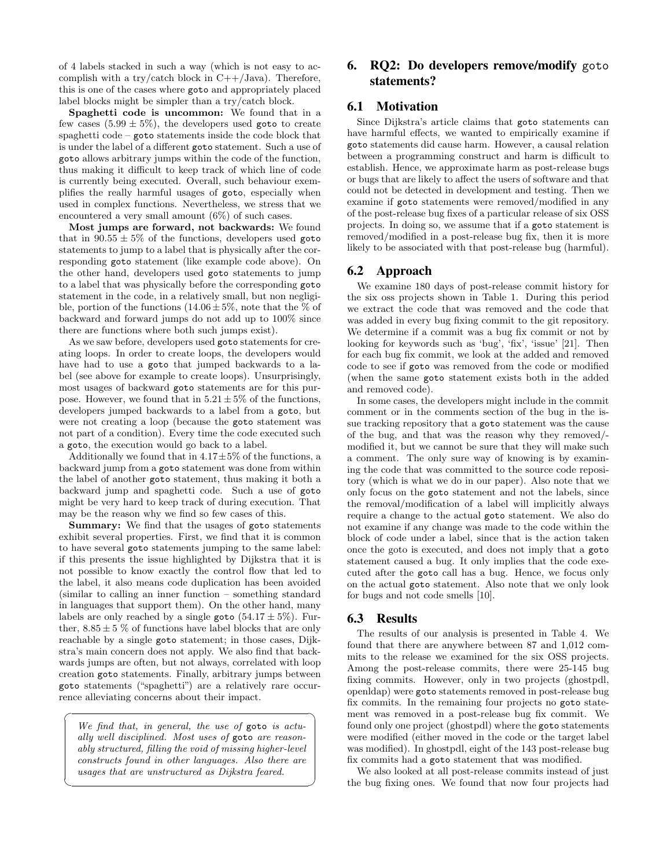of 4 labels stacked in such a way (which is not easy to accomplish with a try/catch block in  $C++/Java$ ). Therefore, this is one of the cases where goto and appropriately placed label blocks might be simpler than a try/catch block.

Spaghetti code is uncommon: We found that in a few cases  $(5.99 \pm 5\%)$ , the developers used goto to create spaghetti code – goto statements inside the code block that is under the label of a different goto statement. Such a use of goto allows arbitrary jumps within the code of the function, thus making it difficult to keep track of which line of code is currently being executed. Overall, such behaviour exemplifies the really harmful usages of goto, especially when used in complex functions. Nevertheless, we stress that we encountered a very small amount (6%) of such cases.

Most jumps are forward, not backwards: We found that in  $90.55 \pm 5\%$  of the functions, developers used goto statements to jump to a label that is physically after the corresponding goto statement (like example code above). On the other hand, developers used goto statements to jump to a label that was physically before the corresponding goto statement in the code, in a relatively small, but non negligible, portion of the functions  $(14.06 \pm 5\%$ , note that the % of backward and forward jumps do not add up to 100% since there are functions where both such jumps exist).

As we saw before, developers used goto statements for creating loops. In order to create loops, the developers would have had to use a goto that jumped backwards to a label (see above for example to create loops). Unsurprisingly, most usages of backward goto statements are for this purpose. However, we found that in  $5.21 \pm 5\%$  of the functions, developers jumped backwards to a label from a goto, but were not creating a loop (because the goto statement was not part of a condition). Every time the code executed such a goto, the execution would go back to a label.

Additionally we found that in  $4.17 \pm 5\%$  of the functions, a backward jump from a goto statement was done from within the label of another goto statement, thus making it both a backward jump and spaghetti code. Such a use of goto might be very hard to keep track of during execution. That may be the reason why we find so few cases of this.

Summary: We find that the usages of goto statements exhibit several properties. First, we find that it is common to have several goto statements jumping to the same label: if this presents the issue highlighted by Dijkstra that it is not possible to know exactly the control flow that led to the label, it also means code duplication has been avoided (similar to calling an inner function – something standard in languages that support them). On the other hand, many labels are only reached by a single goto  $(54.17 \pm 5\%)$ . Further,  $8.85 \pm 5$  % of functions have label blocks that are only reachable by a single goto statement; in those cases, Dijkstra's main concern does not apply. We also find that backwards jumps are often, but not always, correlated with loop creation goto statements. Finally, arbitrary jumps between goto statements ("spaghetti") are a relatively rare occurrence alleviating concerns about their impact.

We find that, in general, the use of goto is actually well disciplined. Most uses of goto are reasonably structured, filling the void of missing higher-level constructs found in other languages. Also there are usages that are unstructured as Dijkstra feared.

 $\overline{a}$ 

 $\searrow$ 

# 6. RQ2: Do developers remove/modify goto statements?

### 6.1 Motivation

Since Dijkstra's article claims that goto statements can have harmful effects, we wanted to empirically examine if goto statements did cause harm. However, a causal relation between a programming construct and harm is difficult to establish. Hence, we approximate harm as post-release bugs or bugs that are likely to affect the users of software and that could not be detected in development and testing. Then we examine if goto statements were removed/modified in any of the post-release bug fixes of a particular release of six OSS projects. In doing so, we assume that if a goto statement is removed/modified in a post-release bug fix, then it is more likely to be associated with that post-release bug (harmful).

### 6.2 Approach

We examine 180 days of post-release commit history for the six oss projects shown in Table 1. During this period we extract the code that was removed and the code that was added in every bug fixing commit to the git repository. We determine if a commit was a bug fix commit or not by looking for keywords such as 'bug', 'fix', 'issue' [21]. Then for each bug fix commit, we look at the added and removed code to see if goto was removed from the code or modified (when the same goto statement exists both in the added and removed code).

In some cases, the developers might include in the commit comment or in the comments section of the bug in the issue tracking repository that a goto statement was the cause of the bug, and that was the reason why they removed/ modified it, but we cannot be sure that they will make such a comment. The only sure way of knowing is by examining the code that was committed to the source code repository (which is what we do in our paper). Also note that we only focus on the goto statement and not the labels, since the removal/modification of a label will implicitly always require a change to the actual goto statement. We also do not examine if any change was made to the code within the block of code under a label, since that is the action taken once the goto is executed, and does not imply that a goto statement caused a bug. It only implies that the code executed after the goto call has a bug. Hence, we focus only on the actual goto statement. Also note that we only look for bugs and not code smells [10].

### 6.3 Results

✟

The results of our analysis is presented in Table 4. We found that there are anywhere between 87 and 1,012 commits to the release we examined for the six OSS projects. Among the post-release commits, there were 25-145 bug fixing commits. However, only in two projects (ghostpdl, openldap) were goto statements removed in post-release bug fix commits. In the remaining four projects no goto statement was removed in a post-release bug fix commit. We found only one project (ghostpdl) where the goto statements were modified (either moved in the code or the target label was modified). In ghostpdl, eight of the 143 post-release bug fix commits had a goto statement that was modified.

We also looked at all post-release commits instead of just the bug fixing ones. We found that now four projects had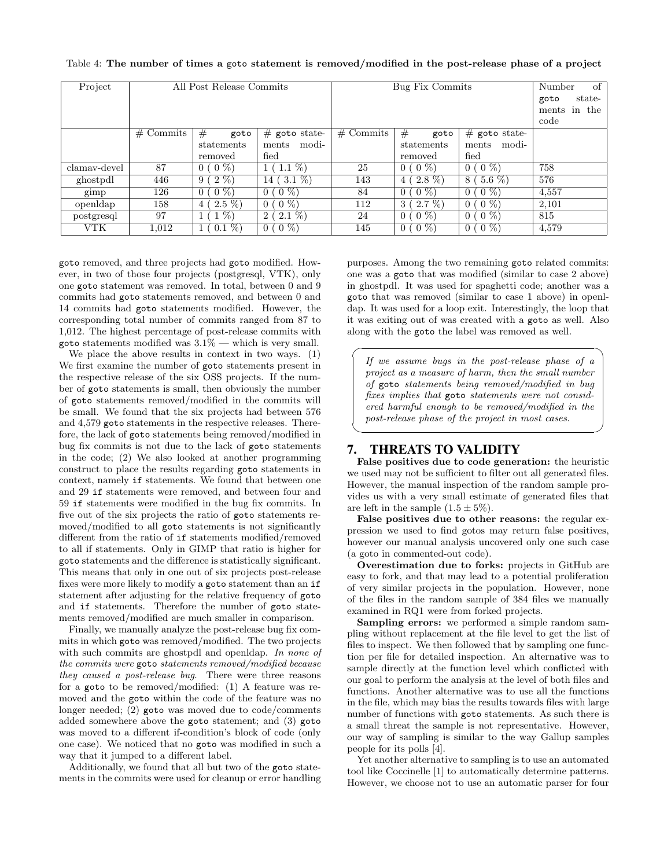| Project      | All Post Release Commits |               |                           | Bug Fix Commits |                         |                           | Number         | of |
|--------------|--------------------------|---------------|---------------------------|-----------------|-------------------------|---------------------------|----------------|----|
|              |                          |               |                           |                 |                         |                           | state-<br>goto |    |
|              |                          |               |                           |                 |                         |                           | ments in the   |    |
|              |                          |               |                           |                 | code                    |                           |                |    |
|              | $\#$ Commits             | #<br>goto     | $#$ goto state-           | $#$ Commits     | #<br>goto               | $#$ goto state-           |                |    |
|              |                          | statements    | modi-<br>ments            |                 | statements              | ments modi-               |                |    |
|              |                          | removed       | fied                      |                 | removed                 | fied                      |                |    |
| clamay-devel | 87                       | $0(0\%)$      | $1.1\%$                   | 25              | $0(0\%)$                | $0\%$<br>0 <sup>0</sup>   | 758            |    |
| ghostpdl     | 446                      | 2 %)<br>9     | $3.1\%$<br>14 (           | 143             | $2.8\%$<br>4            | $5.6\%$<br>8              | 576            |    |
| gimp         | 126                      | $0(0\%)$      | $(0 \%)$<br>0(            | 84              | $0\%$<br>0 <sup>0</sup> | $0\%$<br>0 <sup>0</sup>   | 4,557          |    |
| opendap      | 158                      | $2.5\%$<br>4. | $0\%$<br>0 <sub>0</sub>   | 112             | $2.7\%$<br>3            | $(0\%)$<br>0 <sup>0</sup> | 2,101          |    |
| postgresql   | 97                       | 1 %)          | $2.1\%$<br>$\overline{2}$ | 24              | $0\%$<br>0 <sub>1</sub> | $0 \%$<br>$\Omega$        | 815            |    |
| VTK          | 1,012                    | $0.1\%$       | $0 (0\%)$                 | 145             | $0\%$<br>0(             | $0\%$<br>0 <sup>0</sup>   | 4,579          |    |

 $\sqrt{2}$ 

✍

Table 4: The number of times a goto statement is removed/modified in the post-release phase of a project

goto removed, and three projects had goto modified. However, in two of those four projects (postgresql, VTK), only one goto statement was removed. In total, between 0 and 9 commits had goto statements removed, and between 0 and 14 commits had goto statements modified. However, the corresponding total number of commits ranged from 87 to 1,012. The highest percentage of post-release commits with goto statements modified was  $3.1\%$  — which is very small.

We place the above results in context in two ways. (1) We first examine the number of goto statements present in the respective release of the six OSS projects. If the number of goto statements is small, then obviously the number of goto statements removed/modified in the commits will be small. We found that the six projects had between 576 and 4,579 goto statements in the respective releases. Therefore, the lack of goto statements being removed/modified in bug fix commits is not due to the lack of goto statements in the code; (2) We also looked at another programming construct to place the results regarding goto statements in context, namely if statements. We found that between one and 29 if statements were removed, and between four and 59 if statements were modified in the bug fix commits. In five out of the six projects the ratio of goto statements removed/modified to all goto statements is not significantly different from the ratio of if statements modified/removed to all if statements. Only in GIMP that ratio is higher for goto statements and the difference is statistically significant. This means that only in one out of six projects post-release fixes were more likely to modify a goto statement than an if statement after adjusting for the relative frequency of goto and if statements. Therefore the number of goto statements removed/modified are much smaller in comparison.

Finally, we manually analyze the post-release bug fix commits in which goto was removed/modified. The two projects with such commits are ghostpdl and openldap. In none of the commits were goto statements removed/modified because they caused a post-release bug. There were three reasons for a goto to be removed/modified: (1) A feature was removed and the goto within the code of the feature was no longer needed; (2) goto was moved due to code/comments added somewhere above the goto statement; and (3) goto was moved to a different if-condition's block of code (only one case). We noticed that no goto was modified in such a way that it jumped to a different label.

Additionally, we found that all but two of the goto statements in the commits were used for cleanup or error handling purposes. Among the two remaining goto related commits: one was a goto that was modified (similar to case 2 above) in ghostpdl. It was used for spaghetti code; another was a goto that was removed (similar to case 1 above) in openldap. It was used for a loop exit. Interestingly, the loop that it was exiting out of was created with a goto as well. Also along with the goto the label was removed as well.

If we assume bugs in the post-release phase of a project as a measure of harm, then the small number of goto statements being removed/modified in bug fixes implies that goto statements were not considered harmful enough to be removed/modified in the post-release phase of the project in most cases.

### 7. THREATS TO VALIDITY

False positives due to code generation: the heuristic we used may not be sufficient to filter out all generated files. However, the manual inspection of the random sample provides us with a very small estimate of generated files that are left in the sample  $(1.5 \pm 5\%)$ .

False positives due to other reasons: the regular expression we used to find gotos may return false positives, however our manual analysis uncovered only one such case (a goto in commented-out code).

Overestimation due to forks: projects in GitHub are easy to fork, and that may lead to a potential proliferation of very similar projects in the population. However, none of the files in the random sample of 384 files we manually examined in RQ1 were from forked projects.

Sampling errors: we performed a simple random sampling without replacement at the file level to get the list of files to inspect. We then followed that by sampling one function per file for detailed inspection. An alternative was to sample directly at the function level which conflicted with our goal to perform the analysis at the level of both files and functions. Another alternative was to use all the functions in the file, which may bias the results towards files with large number of functions with goto statements. As such there is a small threat the sample is not representative. However, our way of sampling is similar to the way Gallup samples people for its polls [4].

Yet another alternative to sampling is to use an automated tool like Coccinelle [1] to automatically determine patterns. However, we choose not to use an automatic parser for four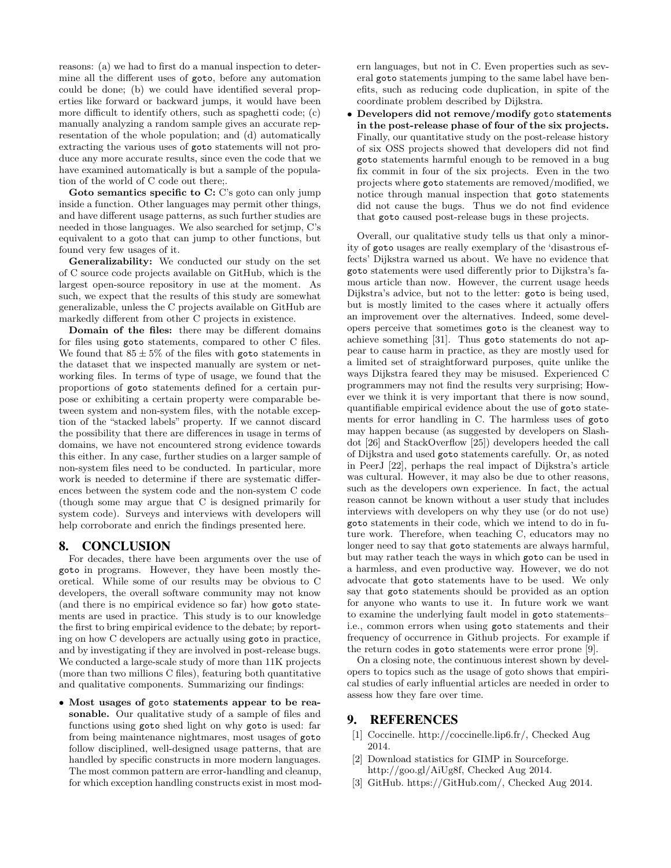reasons: (a) we had to first do a manual inspection to determine all the different uses of goto, before any automation could be done; (b) we could have identified several properties like forward or backward jumps, it would have been more difficult to identify others, such as spaghetti code; (c) manually analyzing a random sample gives an accurate representation of the whole population; and (d) automatically extracting the various uses of goto statements will not produce any more accurate results, since even the code that we have examined automatically is but a sample of the population of the world of C code out there;.

Goto semantics specific to C: C's goto can only jump inside a function. Other languages may permit other things, and have different usage patterns, as such further studies are needed in those languages. We also searched for setjmp, C's equivalent to a goto that can jump to other functions, but found very few usages of it.

Generalizability: We conducted our study on the set of C source code projects available on GitHub, which is the largest open-source repository in use at the moment. As such, we expect that the results of this study are somewhat generalizable, unless the C projects available on GitHub are markedly different from other C projects in existence.

Domain of the files: there may be different domains for files using goto statements, compared to other C files. We found that  $85 \pm 5\%$  of the files with goto statements in the dataset that we inspected manually are system or networking files. In terms of type of usage, we found that the proportions of goto statements defined for a certain purpose or exhibiting a certain property were comparable between system and non-system files, with the notable exception of the "stacked labels" property. If we cannot discard the possibility that there are differences in usage in terms of domains, we have not encountered strong evidence towards this either. In any case, further studies on a larger sample of non-system files need to be conducted. In particular, more work is needed to determine if there are systematic differences between the system code and the non-system C code (though some may argue that C is designed primarily for system code). Surveys and interviews with developers will help corroborate and enrich the findings presented here.

#### 8. CONCLUSION

For decades, there have been arguments over the use of goto in programs. However, they have been mostly theoretical. While some of our results may be obvious to C developers, the overall software community may not know (and there is no empirical evidence so far) how goto statements are used in practice. This study is to our knowledge the first to bring empirical evidence to the debate; by reporting on how C developers are actually using goto in practice, and by investigating if they are involved in post-release bugs. We conducted a large-scale study of more than 11K projects (more than two millions C files), featuring both quantitative and qualitative components. Summarizing our findings:

• Most usages of goto statements appear to be reasonable. Our qualitative study of a sample of files and functions using goto shed light on why goto is used: far from being maintenance nightmares, most usages of goto follow disciplined, well-designed usage patterns, that are handled by specific constructs in more modern languages. The most common pattern are error-handling and cleanup, for which exception handling constructs exist in most modern languages, but not in C. Even properties such as several goto statements jumping to the same label have benefits, such as reducing code duplication, in spite of the coordinate problem described by Dijkstra.

• Developers did not remove/modify goto statements in the post-release phase of four of the six projects. Finally, our quantitative study on the post-release history of six OSS projects showed that developers did not find goto statements harmful enough to be removed in a bug fix commit in four of the six projects. Even in the two projects where goto statements are removed/modified, we notice through manual inspection that goto statements did not cause the bugs. Thus we do not find evidence that goto caused post-release bugs in these projects.

Overall, our qualitative study tells us that only a minority of goto usages are really exemplary of the 'disastrous effects' Dijkstra warned us about. We have no evidence that goto statements were used differently prior to Dijkstra's famous article than now. However, the current usage heeds Dijkstra's advice, but not to the letter: goto is being used, but is mostly limited to the cases where it actually offers an improvement over the alternatives. Indeed, some developers perceive that sometimes goto is the cleanest way to achieve something [31]. Thus goto statements do not appear to cause harm in practice, as they are mostly used for a limited set of straightforward purposes, quite unlike the ways Dijkstra feared they may be misused. Experienced C programmers may not find the results very surprising; However we think it is very important that there is now sound, quantifiable empirical evidence about the use of goto statements for error handling in C. The harmless uses of goto may happen because (as suggested by developers on Slashdot [26] and StackOverflow [25]) developers heeded the call of Dijkstra and used goto statements carefully. Or, as noted in PeerJ [22], perhaps the real impact of Dijkstra's article was cultural. However, it may also be due to other reasons, such as the developers own experience. In fact, the actual reason cannot be known without a user study that includes interviews with developers on why they use (or do not use) goto statements in their code, which we intend to do in future work. Therefore, when teaching C, educators may no longer need to say that goto statements are always harmful, but may rather teach the ways in which goto can be used in a harmless, and even productive way. However, we do not advocate that goto statements have to be used. We only say that goto statements should be provided as an option for anyone who wants to use it. In future work we want to examine the underlying fault model in goto statements– i.e., common errors when using goto statements and their frequency of occurrence in Github projects. For example if the return codes in goto statements were error prone [9].

On a closing note, the continuous interest shown by developers to topics such as the usage of goto shows that empirical studies of early influential articles are needed in order to assess how they fare over time.

#### 9. REFERENCES

- [1] Coccinelle. http://coccinelle.lip6.fr/, Checked Aug 2014.
- [2] Download statistics for GIMP in Sourceforge. http://goo.gl/AiUg8f, Checked Aug 2014.
- [3] GitHub. https://GitHub.com/, Checked Aug 2014.